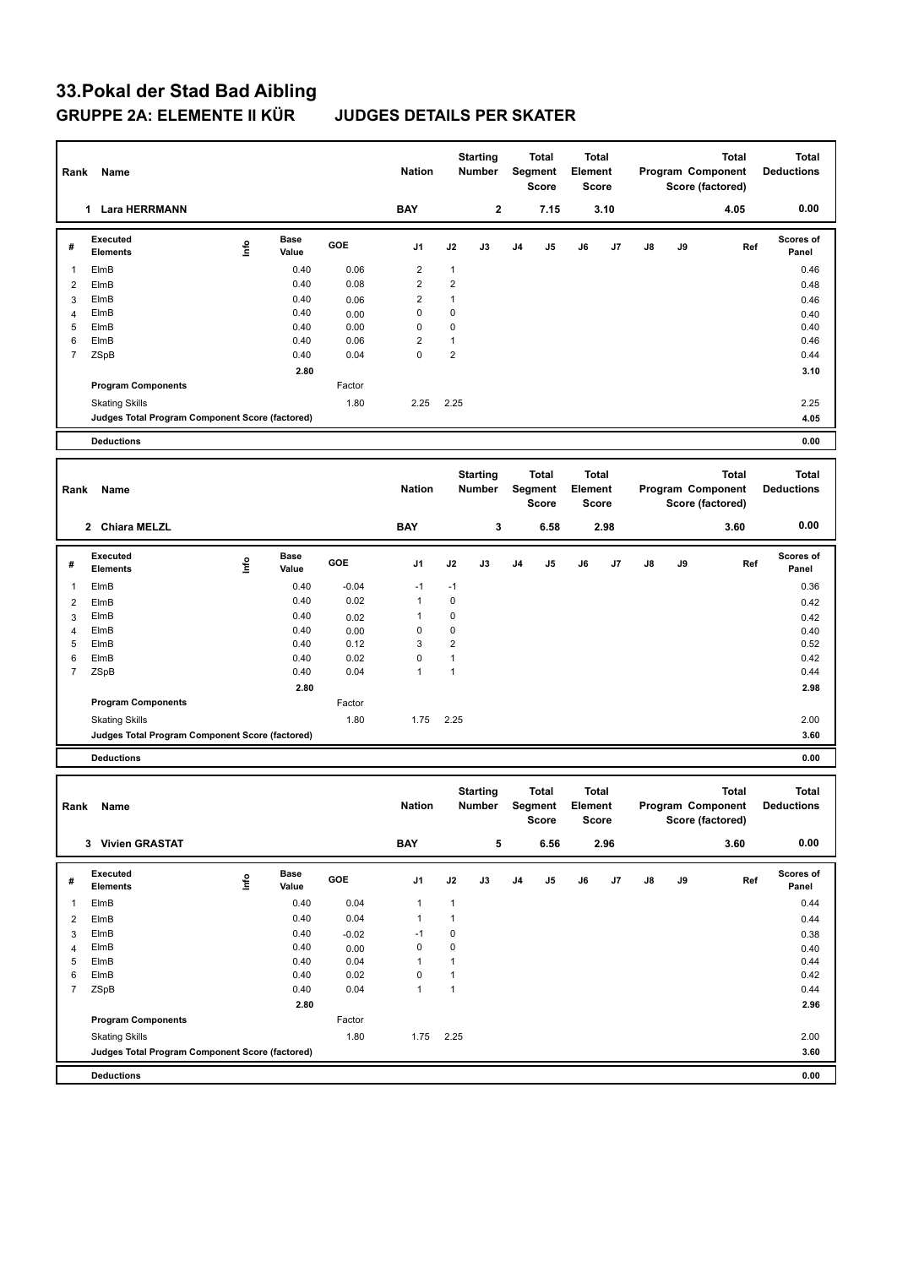## **33.Pokal der Stad Bad Aibling GRUPPE 2A: ELEMENTE II KÜR JUDGES DETAILS PER SKATER**

| Rank                | Name                                            |      |                      |              | <b>Nation</b>       |                              | <b>Starting</b><br>Number        |    | <b>Total</b><br>Segment<br><b>Score</b> | Element | Total<br><b>Score</b>        |    |    |      | <b>Total</b><br>Program Component<br>Score (factored) | <b>Total</b><br><b>Deductions</b> |
|---------------------|-------------------------------------------------|------|----------------------|--------------|---------------------|------------------------------|----------------------------------|----|-----------------------------------------|---------|------------------------------|----|----|------|-------------------------------------------------------|-----------------------------------|
|                     | 1 Lara HERRMANN                                 |      |                      |              | <b>BAY</b>          |                              | 2                                |    | 7.15                                    |         | 3.10                         |    |    |      | 4.05                                                  | 0.00                              |
| #                   | <b>Executed</b><br><b>Elements</b>              | lnfo | <b>Base</b><br>Value | GOE          | J1                  | J2                           | J3                               | J4 | J5                                      | J6      | J7                           | J8 | J9 |      | Ref                                                   | Scores of<br>Panel                |
| $\mathbf{1}$        | ElmB                                            |      | 0.40                 | 0.06         | $\overline{2}$      | $\mathbf{1}$                 |                                  |    |                                         |         |                              |    |    |      |                                                       | 0.46                              |
| $\overline{2}$      | ElmB                                            |      | 0.40                 | 0.08         | $\overline{2}$      | $\overline{2}$               |                                  |    |                                         |         |                              |    |    |      |                                                       | 0.48                              |
| 3                   | ElmB                                            |      | 0.40                 | 0.06         | $\overline{2}$      | $\mathbf{1}$                 |                                  |    |                                         |         |                              |    |    |      |                                                       | 0.46                              |
| 4                   | ElmB                                            |      | 0.40                 | 0.00         | 0                   | $\mathbf 0$                  |                                  |    |                                         |         |                              |    |    |      |                                                       | 0.40                              |
| 5<br>6              | ElmB<br>ElmB                                    |      | 0.40<br>0.40         | 0.00<br>0.06 | 0<br>$\overline{2}$ | $\mathbf 0$<br>$\mathbf{1}$  |                                  |    |                                         |         |                              |    |    |      |                                                       | 0.40<br>0.46                      |
| $\overline{7}$      | ZSpB                                            |      | 0.40                 | 0.04         | $\mathbf 0$         | $\overline{2}$               |                                  |    |                                         |         |                              |    |    |      |                                                       | 0.44                              |
|                     |                                                 |      | 2.80                 |              |                     |                              |                                  |    |                                         |         |                              |    |    |      |                                                       | 3.10                              |
|                     | <b>Program Components</b>                       |      |                      | Factor       |                     |                              |                                  |    |                                         |         |                              |    |    |      |                                                       |                                   |
|                     | <b>Skating Skills</b>                           |      |                      | 1.80         | 2.25                | 2.25                         |                                  |    |                                         |         |                              |    |    |      |                                                       | 2.25                              |
|                     | Judges Total Program Component Score (factored) |      |                      |              |                     |                              |                                  |    |                                         |         |                              |    |    |      |                                                       | 4.05                              |
|                     | <b>Deductions</b>                               |      |                      |              |                     |                              |                                  |    |                                         |         |                              |    |    |      |                                                       | 0.00                              |
|                     |                                                 |      |                      |              |                     |                              |                                  |    |                                         |         |                              |    |    |      |                                                       |                                   |
| Rank                | Name                                            |      |                      |              | <b>Nation</b>       |                              | <b>Starting</b><br><b>Number</b> |    | Total<br>Segment<br><b>Score</b>        | Element | <b>Total</b><br><b>Score</b> |    |    |      | <b>Total</b><br>Program Component<br>Score (factored) | <b>Total</b><br><b>Deductions</b> |
|                     | 2 Chiara MELZL                                  |      |                      |              | <b>BAY</b>          |                              | 3                                |    | 6.58                                    |         | 2.98                         |    |    |      | 3.60                                                  | 0.00                              |
| #                   | <b>Executed</b><br><b>Elements</b>              | ١nf٥ | <b>Base</b><br>Value | GOE          | J <sub>1</sub>      | J2                           | J3                               | J4 | J5                                      | J6      | J7                           | J8 | J9 |      | Ref                                                   | Scores of<br>Panel                |
| 1                   | ElmB                                            |      | 0.40                 | $-0.04$      | $-1$                | $-1$                         |                                  |    |                                         |         |                              |    |    |      |                                                       | 0.36                              |
| $\overline{2}$      | ElmB                                            |      | 0.40                 | 0.02         | $\mathbf{1}$        | $\mathbf 0$                  |                                  |    |                                         |         |                              |    |    |      |                                                       | 0.42                              |
| 3                   | ElmB                                            |      | 0.40                 | 0.02         | $\mathbf{1}$        | $\mathbf 0$                  |                                  |    |                                         |         |                              |    |    |      |                                                       | 0.42                              |
| 4                   | ElmB                                            |      | 0.40                 | 0.00         | 0                   | $\mathbf 0$                  |                                  |    |                                         |         |                              |    |    |      |                                                       | 0.40                              |
| 5                   | ElmB                                            |      | 0.40                 | 0.12         | 3                   | $\overline{2}$               |                                  |    |                                         |         |                              |    |    |      |                                                       | 0.52                              |
| 6                   | ElmB                                            |      | 0.40                 | 0.02         | 0                   | $\mathbf{1}$                 |                                  |    |                                         |         |                              |    |    |      |                                                       | 0.42                              |
| $\overline{7}$      | ZSpB                                            |      | 0.40                 | 0.04         | $\mathbf{1}$        | $\mathbf{1}$                 |                                  |    |                                         |         |                              |    |    |      |                                                       | 0.44                              |
|                     |                                                 |      | 2.80                 |              |                     |                              |                                  |    |                                         |         |                              |    |    |      |                                                       | 2.98                              |
|                     | <b>Program Components</b>                       |      |                      | Factor       |                     |                              |                                  |    |                                         |         |                              |    |    |      |                                                       |                                   |
|                     | <b>Skating Skills</b>                           |      |                      | 1.80         | 1.75                | 2.25                         |                                  |    |                                         |         |                              |    |    |      |                                                       | 2.00                              |
|                     | Judges Total Program Component Score (factored) |      |                      |              |                     |                              |                                  |    |                                         |         |                              |    |    |      |                                                       | 3.60                              |
|                     | <b>Deductions</b>                               |      |                      |              |                     |                              |                                  |    |                                         |         |                              |    |    |      |                                                       | 0.00                              |
|                     |                                                 |      |                      |              |                     |                              | <b>Starting</b>                  |    | <b>Total</b>                            |         | <b>Total</b>                 |    |    |      | <b>Total</b>                                          | <b>Total</b>                      |
| Rank                | Name                                            |      |                      |              | <b>Nation</b>       |                              | <b>Number</b>                    |    | Segment<br>Score                        | Element | Score                        |    |    |      | Program Component<br>Score (factored)                 | <b>Deductions</b>                 |
|                     | 3 Vivien GRASTAT                                |      |                      |              | <b>BAY</b>          |                              | 5                                |    | 6.56                                    | 2.96    |                              |    |    | 3.60 |                                                       | 0.00                              |
|                     | Executed                                        |      | Base                 |              |                     |                              |                                  |    |                                         |         |                              |    |    |      |                                                       | Scores of                         |
| #                   | <b>Elements</b>                                 | Info | Value                | GOE          | J1                  | J2                           | J3                               | J4 | J5                                      | J6      | J7                           | J8 | J9 |      | Ref                                                   | Panel                             |
| $\mathbf{1}$        | ElmB                                            |      | 0.40                 | 0.04         | $\mathbf{1}$        | $\mathbf{1}$                 |                                  |    |                                         |         |                              |    |    |      |                                                       | 0.44                              |
| $\overline{2}$      | ElmB                                            |      | 0.40                 | 0.04         | $\mathbf{1}$        | $\mathbf{1}$                 |                                  |    |                                         |         |                              |    |    |      |                                                       | 0.44                              |
| 3                   | ElmB                                            |      | 0.40                 | $-0.02$      | $-1$                | $\pmb{0}$                    |                                  |    |                                         |         |                              |    |    |      |                                                       | 0.38                              |
| $\overline{4}$      | ElmB                                            |      | 0.40                 | 0.00         | $\pmb{0}$           | $\pmb{0}$                    |                                  |    |                                         |         |                              |    |    |      |                                                       | 0.40                              |
| 5                   | ElmB                                            |      | 0.40                 | 0.04         | $\mathbf{1}$        | $\mathbf{1}$                 |                                  |    |                                         |         |                              |    |    |      |                                                       | 0.44                              |
| 6<br>$\overline{7}$ | ElmB                                            |      | 0.40                 | 0.02         | 0<br>$\mathbf{1}$   | $\mathbf{1}$<br>$\mathbf{1}$ |                                  |    |                                         |         |                              |    |    |      |                                                       | 0.42<br>0.44                      |
|                     | ZSpB                                            |      | 0.40<br>2.80         | 0.04         |                     |                              |                                  |    |                                         |         |                              |    |    |      |                                                       | 2.96                              |
|                     | <b>Program Components</b>                       |      |                      | Factor       |                     |                              |                                  |    |                                         |         |                              |    |    |      |                                                       |                                   |
|                     | <b>Skating Skills</b>                           |      |                      | 1.80         | 1.75                | 2.25                         |                                  |    |                                         |         |                              |    |    |      |                                                       | 2.00                              |
|                     | Judges Total Program Component Score (factored) |      |                      |              |                     |                              |                                  |    |                                         |         |                              |    |    |      |                                                       | 3.60                              |
|                     |                                                 |      |                      |              |                     |                              |                                  |    |                                         |         |                              |    |    |      |                                                       |                                   |
|                     | <b>Deductions</b>                               |      |                      |              |                     |                              |                                  |    |                                         |         |                              |    |    |      |                                                       | 0.00                              |